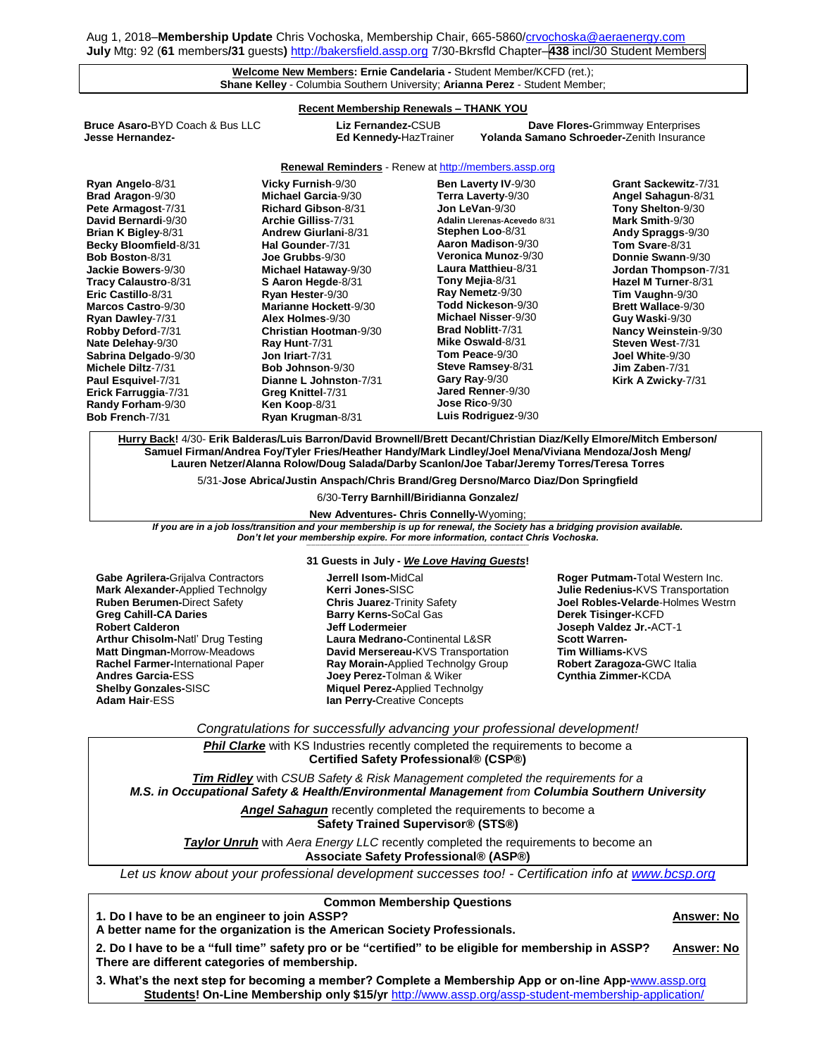## **Welcome New Members: Ernie Candelaria -** Student Member/KCFD (ret.); **Shane Kelley** - Columbia Southern University; **Arianna Perez** - Student Member;

## **Recent Membership Renewals – THANK YOU**

**Bruce Asaro-**BYD Coach & Bus LLC **Liz Fernandez-**CSUB **Dave Flores-**Grimmway Enterprises

**Yolanda Samano Schroeder-Zenith Insurance** 

**Renewal Reminders** - Renew a[t http://members.assp.org](http://members.assp.org/)

| Ryan Angelo-8/31           | Vicky Furnish-9/30            | Ben Laverty IV-9/30          | Grant Sackewitz-7/31        |
|----------------------------|-------------------------------|------------------------------|-----------------------------|
| <b>Brad Aragon-9/30</b>    | Michael Garcia-9/30           | Terra Laverty-9/30           | Angel Sahagun-8/31          |
| Pete Armagost-7/31         | <b>Richard Gibson-8/31</b>    | Jon LeVan-9/30               | Tony Shelton-9/30           |
| David Bernardi-9/30        | Archie Gilliss-7/31           | Adalin Llerenas-Acevedo 8/31 | Mark Smith-9/30             |
| <b>Brian K Bigley-8/31</b> | <b>Andrew Giurlani-8/31</b>   | Stephen Loo-8/31             | Andy Spraggs-9/30           |
| Becky Bloomfield-8/31      | Hal Gounder-7/31              | Aaron Madison-9/30           | Tom Svare-8/31              |
| <b>Bob Boston-8/31</b>     | Joe Grubbs-9/30               | <b>Veronica Munoz</b> -9/30  | Donnie Swann-9/30           |
| Jackie Bowers-9/30         | Michael Hataway-9/30          | Laura Matthieu-8/31          | <b>Jordan Thompson-7/31</b> |
| Tracy Calaustro-8/31       | S Aaron Hegde-8/31            | Tony Mejia-8/31              | Hazel M Turner-8/31         |
| Eric Castillo-8/31         | Ryan Hester-9/30              | Ray Nemetz-9/30              | Tim Vaughn-9/30             |
| Marcos Castro-9/30         | Marianne Hockett-9/30         | Todd Nickeson-9/30           | <b>Brett Wallace-9/30</b>   |
| Ryan Dawley-7/31           | Alex Holmes-9/30              | Michael Nisser-9/30          | Guy Waski-9/30              |
| Robby Deford-7/31          | <b>Christian Hootman-9/30</b> | <b>Brad Noblitt-7/31</b>     | <b>Nancy Weinstein-9/30</b> |
| Nate Delehay-9/30          | Ray Hunt-7/31                 | Mike Oswald-8/31             | Steven West-7/31            |
| Sabrina Delgado-9/30       | Jon Iriart-7/31               | Tom Peace-9/30               | Joel White-9/30             |
| Michele Diltz-7/31         | <b>Bob Johnson-9/30</b>       | Steve Ramsey-8/31            | $Jim$ Zaben- $7/31$         |
| Paul Esquivel-7/31         | Dianne L Johnston-7/31        | Gary Ray-9/30                | Kirk A Zwicky-7/31          |
| Erick Farruggia-7/31       | Greg Knittel-7/31             | Jared Renner-9/30            |                             |
| Randy Forham-9/30          | Ken Koop-8/31                 | Jose Rico-9/30               |                             |
| <b>Bob French-7/31</b>     | Rvan Krugman-8/31             | Luis Rodriguez-9/30          |                             |

**Hurry Back!** 4/30- **Erik Balderas/Luis Barron/David Brownell/Brett Decant/Christian Diaz/Kelly Elmore/Mitch Emberson/ Samuel Firman/Andrea Foy/Tyler Fries/Heather Handy/Mark Lindley/Joel Mena/Viviana Mendoza/Josh Meng/ Lauren Netzer/Alanna Rolow/Doug Salada/Darby Scanlon/Joe Tabar/Jeremy Torres/Teresa Torres**

5/31-**Jose Abrica/Justin Anspach/Chris Brand/Greg Dersno/Marco Diaz/Don Springfield**

## 6/30-**Terry Barnhill/Biridianna Gonzalez/**

**New Adventures- Chris Connelly-**Wyoming;

*If you are in a job loss/transition and your membership is up for renewal, the Society has a bridging provision available. Don't let your membership expire. For more information, contact Chris Vochoska.* 

**-----------------------------------------------------------------------------------------------------------------------------------------------------------------------**

**Gabe Agrilera-**Grijalva Contractors **Mark Alexander-**Applied Technolgy **Ruben Berumen-**Direct Safety **Greg Cahill-CA Daries Robert Calderon Arthur Chisolm-**Natl' Drug Testing **Matt Dingman-**Morrow-Meadows **Rachel Farmer-**International Paper **Andres Garcia-**ESS **Shelby Gonzales-**SISC **Adam Hair**-ESS

# **31 Guests in July -** *We Love Having Guests***!**

**Jerrell Isom-**MidCal **Kerri Jones-**SISC **Chris Juarez**-Trinity Safety **Barry Kerns-**SoCal Gas **Jeff Lodermeier Laura Medrano-**Continental L&SR **David Mersereau-**KVS Transportation **Ray Morain-**Applied Technolgy Group **Joey Perez-**Tolman & Wiker **Miquel Perez-**Applied Technolgy **Ian Perry-**Creative Concepts

**Roger Putmam-**Total Western Inc. **Julie Redenius-**KVS Transportation **Joel Robles-Velarde**-Holmes Westrn **Derek Tisinger-**KCFD **Joseph Valdez Jr.-**ACT-1 **Scott Warren-Tim Williams-**KVS **Robert Zaragoza-**GWC Italia **Cynthia Zimmer-**KCDA

*Congratulations for successfully advancing your professional development!*

**Phil Clarke** with KS Industries recently completed the requirements to become a **Certified Safety Professional® (CSP®)**

*Tim Ridley* with *CSUB Safety & Risk Management completed the requirements for a M.S. in Occupational Safety & Health/Environmental Management from Columbia Southern University*

> *Angel Sahagun* recently completed the requirements to become a **Safety Trained Supervisor® (STS®)**

*Taylor Unruh* with *Aera Energy LLC* recently completed the requirements to become an

**Associate Safety Professional® (ASP®)**

*Let us know about your professional development successes too! - Certification info at [www.bcsp.org](http://www.bcsp.org/)*

**Common Membership Questions**

**1. Do I have to be an engineer to join ASSP? Answer: No**

**A better name for the organization is the American Society Professionals.**

**2. Do I have to be a "full time" safety pro or be "certified" to be eligible for membership in ASSP? Answer: No There are different categories of membership.** 

**3. What's the next step for becoming a member? Complete a Membership App or on-line App-**[www.assp.org](http://www.assp.org/) **Students! On-Line Membership only \$15/yr** <http://www.assp.org/assp-student-membership-application/>